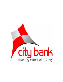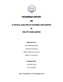

# Internship Report

## **ON**

## A Critical Analysis of Customer Care Service

**OF** 

The City Bank Limited

**Submitted To:**

Mr. Mahmudul Haq

Assistant Professor

BRAC Business School

BRAC University

## **Submitted By:**

Oyahida Akter

ID: 10104142

**Date of Submission: 14 th September 2014**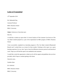## **Letter of Transmittal**

14<sup>th</sup> September 2014

Mr. Mahmudul Haq Assistant Professor BRAC Business School BRAC University

**Subject:** Submission of Internship report

Dear Sir,

I would like to submit my report titled "A Critical Analysis of The Customer Care Service of The City Bank Limited prepared as a part of the requirement for BBA program of BRAC Business School.

I have successfully completed my internship program in The City Bank Limited (Dhanmondi Branch) and I worked there as an intern for three months. Working on this report was a great learning experience for me, since I got to learn the differences between practical and theoretical work. I hope you will find the report to be methodical and consistent.

I would like to take this opportunity to thank you for all the support and guidelines that you have provided, which I hope to continue getting in the future.

Sincerely yours,

Oyahida Akter

ID: 10104142

BRAC Business School

BRAC University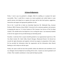## **Acknowledgements**

Firstly, I want to pay my gratitude to almighty Allah for enabling us to prepare the report successfully. Then I would like to express my sincere gratitude and cordial thanks to some specific persons who helped me to organize this report and for their kind opinion, suggestions, instructions and support and appropriate guidelines for this.

First of all, I would like to thank my Internship Supervisor Mr. Mahmudul Haq, Assistant Professor, BRAC Business School, BRAC University for his continuous guidance and assistance in preparing the report on "A Critical Analysis of The Customer Care Service of The City Bank Limited." His valuable advice has helped me a lot in writing this report. I am immensely thankful to him for the supports he has provided during my Internship period.

Secondly, I would also like to express heartfelt gratitude to my organizational supervisor at The City Bank Limited, Mr. Salek Uddin, Branch Manager, Dhanmondi Branch. He directed me towards the right information and regularly reviewed my progress in preparation of this report. He has provided the information about the organization and the information about Branch Banking as well to help me with the report.

Finally, this report would not have been possible without the dedication and contribution of all my colleagues who has helped me by teaching all the works. I express my sincere gratitude to all of them. Their valuable contribution is what made this Report possible.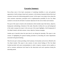## **Executive Summary**

Now-a-Days most of the bank concentrates of marketing feasibility to earn and generate opportunity to hold existing to keep loyal customers, in the business humanity believed that loyal customers increase the forthcoming gainful revenue. In this report I am trying to focus about the wide consumer expectation, perception and its implementation possibility for the City Bank Limited to overcome the all kinds of customer objections for the service failure and weakness.

First part of this report is based on the introduction which includes topics like history, objective, background, methodology, limitation of the study. Basically it defines the way and background of the study to prepare the report. In the next part of the report highlights a brief background of City Bank Limited, with their mission, vision, objective, business strategies.

Another part is basically about the tasks done by me during the internship. This report is also consists of highlighting the general banking procedure by describing the entire departments associated with general banking.

Then the next part is about providing a brief summary of all product and services offered by the City Bank Limited. This report is also consists of some critical findings of The City Bank Limited provided with some recommendation in order to improve customer service quality as well as customer satisfaction level based on the observation and work experience during the internship period.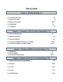## **Table of Content**

| <b>Chapter 1- Introduction (Page 1-4)</b> |           |  |
|-------------------------------------------|-----------|--|
|                                           |           |  |
| 1.1 Grounds of the Study:                 | 02        |  |
| 1.2 Scope of the Study:                   | 02        |  |
| 1.3 Purpose of the Study:                 | $02 - 03$ |  |
| 1.4 Methodology:                          | 03        |  |
| 1.5 Limitations:                          | 04        |  |
|                                           |           |  |

| <b>Chapter 2- A Summary of The City Bank Limited (Page 5-11)</b>                                  |                      |  |
|---------------------------------------------------------------------------------------------------|----------------------|--|
| <b>2.1 Historical Background:</b>                                                                 | 07                   |  |
| 2.2 Objective and Goals:                                                                          | 08                   |  |
| 2.3 Vision and Mission:                                                                           | 09                   |  |
| 2.4 Functions of Different Divisions at City Bank:<br>2.5 Services Provided by City Bank Limited: | $09-10$<br>$10 - 11$ |  |

| <b>Chapter 3- Job Responsibilities of an Intern (Page 12-15)</b>  |           |  |
|-------------------------------------------------------------------|-----------|--|
| 1.1 Introduction:                                                 | 12        |  |
| 1.2 Job Description:                                              | $12 - 14$ |  |
| 1.3 Outcome from the learning:                                    | $14 - 15$ |  |
| <b>Chapter 4- Products and Services of City Bank (Page 16-33)</b> |           |  |
| 4.1 Products and services of retail banking:                      | 16        |  |
| 4.1.1 Deposit:                                                    | $16 - 23$ |  |
| <b>4.1.2 Cards:</b>                                               | $23 - 27$ |  |
| <b>4.1.3 Loans:</b>                                               | 27-31     |  |
| 4.1.4 SME Banking:                                                | 31-33     |  |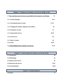| <b>Chapter 5- Analysis of Customer Care Service (Page 34-43)</b>              |       |  |
|-------------------------------------------------------------------------------|-------|--|
| 5.1 How and what type of services are provided by the Customer Care Division: | 34    |  |
| 5.1.1 Account Opening:                                                        | 34-37 |  |
| <b>5.1.2 Activating Dormant Account:</b>                                      | 37-38 |  |
| 5.1.3 Changing the Nominee, Signature and Address:                            | 38    |  |
| 5.1.4 Closing the Account:                                                    | 39    |  |
| <b>5.1.5 Cheque Book Service:</b>                                             | 39-40 |  |
| <b>5.1.6 Card Service:</b>                                                    | 40    |  |
| 5.1.7 Money Transfer:                                                         | 40    |  |
| <b>5.1.8 Loans:</b>                                                           | 40-41 |  |
| 5.2 Critical findings from Customer Care Service:                             | 41-43 |  |

| <b>Chapter 6- A Critical Analysis of Customer Care Service (44-50)</b> |           |  |
|------------------------------------------------------------------------|-----------|--|
| <b>6.1 Introduction:</b>                                               | 44        |  |
| 6.2 Methodology:                                                       | 44        |  |
| <b>6.3 Purpose of the Survey:</b>                                      | 44        |  |
| <b>6.4 Result from the Survey:</b>                                     | 44-47     |  |
| <b>6.5 Recommendation:</b>                                             | $48 - 50$ |  |

**Chapter 6- Conclusion (Page 51)**

**Conclusion: 51**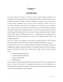# **Chapter 1**

# **Introduction**

Now-a-days almost all the banks are similar to other customer making corporations. The outstanding service quality permits a bank to differentiate themselves from their rivalry, advance a bearable competitive advantage, and enhance efficiency. Customer service is the process of ensuring customer satisfaction with a product or service. Frequently, customer service takes place while performing a transaction for the customer, such as making a sale or returning an item. In Banks customer service includes processing cheque, cash and direct debit payments and withdrawals, setting up and maintaining customers' accounts, dealing with enquiries, promoting and selling financial products and services to customers, using a computerized system to update account details, general administration tasks such as maintaining records, opening post and sending letters to customers, operating overseas currency tills, helping customers with loan and mortgage applications.

This report is based on the learning of three months internship experience on The City Bank Limited. The report has been structured according to the outline provided by the supervisor.

City Bank is one of the very few local banks which do not follow the traditional, decentralized, geographically managed, branch based business or profit model. Basically, the bank manages its business and operation vertically from the head office through 4 distinct business divisions namely-

- $\checkmark$  Retail Banking (including Cards)
- $\checkmark$  Corporate & Investment Banking
- $\checkmark$  Treasury & Market Risks
- $\checkmark$  SME Banking &

Under a synchronized online banking platform, these four business divisions are supported at the back by a robust service delivery or operations setup and also a smart IT Backbone. Such centralized business segment based business & operating model ensure specialized treatment and services to the bank's different customer segments.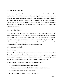## **1.1 Grounds of the Study:**

A research or report is designed considering some requirements. Though this research is conducted as a part of BBA program but this study might be very much useful for banks especially in the present banking environment. Now every bank has some competitive objectives of their own style. All banks are now facing more competition ever before and so for this all are wanted to offer more attractive service to their clients and trying to attain consumer's satisfaction. From same point of view, customer service of a bank is the basic step to create differentiation from others.

### **1.2 Scope of the Study:**

The City Bank Limited Dhanmondi Branch as the field of my study. To conduct this study, an overall knowledge of the total banking system is necessary because the departments of banking are linked to each other. The scope of the study covers the organizational background, objective, function, departmentalization and product and services of The City Bank limited as a whole. The main part covers the operational scenario of a branch of The City Bank Limited. This refers that how the bank helps the customers in general banking.

### **1.3 Purpose of the Study:**

#### **Broad Purpose:**

The broad objective of this report is to get an idea about the wide operation and knowledge about branch banking which can improve the ordinary banking services style through applying fundamental finance aspects. Moreover this study tried to reveal the prospect of aptitude on bankers and emotional and brand value actions to the forthcoming retail customers.

**Specific Purpose:** There are some specific purposes as well and they are:

- $\checkmark$  Applying the theoretical knowledge into practical field.
- $\checkmark$  Analyzing the services provided by The City Bank Limited to the Customers.
- $\checkmark$  Analyzing how a branch deals with its customers
- $\checkmark$  How the different sections of a particular branch works.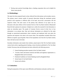$\checkmark$  Having some practical knowledge about a banking corporation that can be helpful for future career growth.

## **1.4 Methodology:**

The report has been prepared based on data collected from both primary and secondary sources. The primary source consists mainly of personal observation during the attachment period, practical work experience in different desk of the bank, face-to-face conversation with the respective clients. The main source of the primary data collection of my report was my discussion with senior officers of the Customer Service of the City Bank Limited at Dhanmondi Branch & their opinions & comments. It helped me to collect the essential & vital information to make my internship report. The people of Customer Service sectors & their face to face information is my primary data. Data and relevant information are collected for this study through an unstructured questionnaire where customers and employees both were given the questions and responses were taken in the answer sheet. The respondents included clients from different occupation, age and gender. Most of the respondents were from the City Bank Limited, those who had account in the bank.

Secondary information came mainly from websites, annual report of the The City Bank Limited, various book articles regarding general banking, various brochures published by The City Bank Limited. Necessary data and information has been collected by the following sources:

- General banking procedure manuals of the City Bank Limited.
- $\checkmark$  Circulars, letters and memos issued by the Banks and regulatory organization i.e. Bangladesh Bank and Government
- $\checkmark$  Prudential Guidelines on General Banking issued by Bangladesh Bank.
- $\checkmark$  Annual report of city bank limited.
- $\checkmark$  Internet and websites.

## **1.5 Limitations:**

During the preparation of this report some difficulties and limitations took place and they were: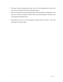- $\checkmark$  The major restraint in preparing the report was time. The learning period of only twelve weeks was not enough to learn all the banking procedure.
- $\checkmark$  About the financial and some banking procedure the bank maintains confidentiality, since they do not want their competitors to know about some vital information. And that is why some important information lacks.
- $\checkmark$  Some officials were not so much prepared for giving the data and that is why some information could not be taken.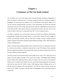# **Chapter 2**

# **A Summary of The City Bank Limited**

The City Bank Ltd. is one of the oldest private Commercial Banks operating in Bangladesh. It started its journey in 1983 and now is a top bank among the oldest five Commercial Banks in Bangladesh. The first branch was opened at B. B. Avenue Branch in the capital, Dhaka city. It was the visionary entrepreneurship of around 13 local businessmen who braved the immense uncertainties and risks with courage and keenness that made the establishment & forward march of the bank possible. Those sponsor directors commenced the journey with only Taka 3.4 core worth of Capital, which now is a respectable Taka 330.77 core as capital & reserve.

City Bank is among the very few local banks which do not follow the traditional, decentralized, geographically managed, branch based business or profit model. Instead the bank manages its business and operation vertically from the head office through 4 distinct business divisions namely Corporate & Investment Banking; Retail Banking (including Cards); SME Banking; & Treasury & Market Risks.

Under a real-time online banking platform, these 4 business divisions are supported at the back by a robust service delivery or operations setup and also a smart IT Backbone. Such centralized business segment based business & operating model ensure specialized treatment and services to the bank's different customer segments.

The bank currently has 88 online branches and 10 SME service centers and 1 SME Agro center spread across the length & breadth of the country that include a full-fledged Islami Banking branch. Besides these traditional delivery points, the bank is also very active in the alternative delivery area. It currently has 83 ATMs of its own; and ATM sharing arrangement with a partner bank that has more than 550 ATMs in place; SMS Banking; Interest Banking and so on. It already started its Customer Call Center operation. The bank has a plan to end the current year with 100 own ATMs. City Bank is the first bank In Bangladesh to have issued Dual Currency Credit Card.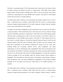The bank is a principal member of VISA international and it issues both Local Currency (Taka) & Foreign Currency (US Dollar) card limits in a single plastic. VISA Debit Card is another popular product which the bank is pushing hard in order to ease out the queues at the branch created by its astounding base of some 400,000 retail customers. The launch of VISA Prepaid Card for the travel sector is currently underway.

City Bank prides itself in offering a very personalized and friendly customer service. It has in place a customized service excellence model called CRP that focuses on ensuring happy customers through setting benchmarks for the bank's employees' attitude, behavior, readiness level, accuracy and timelines of service quality.

City Bank is the first bank in Bangladesh to have issued Dual Currency Credit Card. The bank is a principal member of VISA international and it issues both Local Currency (Taka) & Foreign Currency (US Dollar) card limits in a single plastic. VISA Debit Card is another popular product which the bank is pushing hard in order to ease out the queues at the branch created by its astounding base of some 400,000 retail customers. The launch of VISA Prepaid Card for the travel sector is currently underway. City Bank has launched American Express Credit Card and American Express Gold Credit card in November 2009. City Bank is the local caretaker of the brand and is responsible for all operations supporting the issuing of the new credit cards, including billing and accounting, customer service, credit management and charge authorizations, as well as marketing the cards in Bangladesh. Both cards are international cards and accepted by the millions of merchants operating on the American Express global merchant network in over 200 countries and territories including Bangladesh. City Bank also introduced exclusive privileges for the card members under the American Express Selects program in Bangladesh. This will entitled any American Express card members to enjoy fantastic savings on retail and dining at some of the finest establishment in Bangladesh. It also provides incredible privileges all over the globe with more than 13,000 offers at over 10,000 merchants in 75 countries.

City Bank prides itself in offering a very personalized and friendly customer service. It has in place a customized service excellence model called CRP that focuses on ensuring happy customers through setting benchmarks for the bank's employees' attitude, behavior, readiness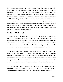level, accuracy and timelines of service quality. City Bank is one of the largest corporate banks in the country with a current business model that heavily encourages and supports the growth of the bank in Retail and SME Banking. The bank is very much on its way to opening many independent SME centers across the country within a short time. The bank is also very active in the workers' foreign remittance business. It has strong tie-ups with major exchange companies in the Middle East, Europe, Far East & USA, from where thousands of individual remittances come to the country every month for disbursements through the bank's large network of 99 online branches and SME service centers. The current senior management leaders of the bank consist of mostly people from the multinational banks with superior management skills and knowledge in their respective "specialized" areas. The newly launched logo and the pay-off line of the bank are just one initial step towards reaching that point.

### **2.1 Historical Background:**

The Bank is registered under the Companies Act, 1913. The bank operates as a scheduled bank under a banking license issued by the Bangladesh Bank, Central Bank of the country. It has started operation on  $27<sup>th</sup>$  March, 1983. It was launched then with the objective of serving the communities with the taking of deposits from the general citizens for interest to use these deposits for lending the small industrial sectors. But with the passing of time it has started its outset and has presented some unique, demanding and timely packages to the people.

The emergence of The City Bank Limited in the private sector is an important history in the banking arena of Bangladesh. During 1981-83, when the nation was in the grip of severe recession, government first declared and gave permission the establishment of banks in the private sector in order to make money supply more volatile and to reactivate the economy. After that government declaration some dynamic entrepreneurs marched and came forward for establishing a bank with a motto to revitalize the overall economic condition of the country.

The City Bank Limited is the first right hand in this front line. It first obtained fund from those of the promoters, which is subsequently augmented by the issue of share capital. It started with Taka 100 million of authorized capital and Taka 14 million of paid up capital in March 27, 1983.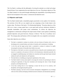The City Bank is working with the philosophy of serving the nationals as an ideal and unique financial house. Every organization has some objectives of its own. The primary objective of The City Bank Limited is to earn profit through undertaking the responsibility of providing financial help for the development of the country's commercial and industrial sector.

## **2.2 Objective and Goals:**

The City Bank Limited made a remarkable progress practically in every sphere of its functions. The activities of the CBL are very implicit and vast comparing to that of other banks in the country today. The theme of the bank is "For Relationship Banking". The prime objectives of the CBL are to create a strong capital base, to earn good profit and pay satisfactory dividend to honorable shareholders with proper social commitments. To achieve the objectives the management is continuously working for the improvement of bank"s assets quality by identifying potential depositors and good borrowers. Because it believes "The line of excellence never ends". The strategic plans and business will be its strength in this very competitive environment.

Some other objectives are as follows:

- $\checkmark$  The bank is committed to continue its activities in the new horizon of business with a view to developing service oriented industry and culture of morality and its maintenance in banking.
- $\checkmark$  As the first and the largest private bank is committed to continue its endeavor by rapidly increasing the investment of honorable share holders into assets.
- $\checkmark$  The objective of the bank is not only to earn profit but also to keep the social commitment and to ensure its co-operation to the person of all level, to the businessman, industrialist-specially who are engaged in establishing large scale industry by consortium and the agro-based export oriented medium & small scale industries by self inspiration.
- $\checkmark$  The bank believes in building up strong based capitalization of the country.
- $\checkmark$  City Bank Limited is always preoccupied to encourage the investors for purchasing its share by creating the opportunity of long term investment and increasing the value of share through prosperity as developed day by day.
- $\checkmark$  It has been working from its very beginning to ensure the best use of its creativity, well disciplined, well managed and perfect growth.
- $\checkmark$  The Bank is playing a vital role in Socio-economic development o Bangladesh by way of linkage with rest of the world by developing worldwide network in domestic and international operations.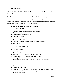## **2.3 Vision and Mission:**

The vision of City Bank Limited is to be "The Financial Supermarket with a Wining Culture Offering Enjoyable Experience."

By maintaining the vision they are trying the mission. Such as, "Offer wide array of products and service that differentiate and excite all customer segments; Be the "Employer of choice" by offering an environment where people excel and leaders are created and Continuously challenge processes and platforms to enhance effectiveness and efficiency."

### **2.4 Functions of Different Divisions at City Bank:**

- **Finalcial Division**
- Financial Planning, budget preparation and monitoring
- Payment of salary
- Controlling inter-branch transaction
- Disbursement of bills
- Preparation / Review of returns and statement
- Preparation of financial reports and annual reports
- Maintenance of Provident Fund, Gratuity, Superannuation Fund
- Reconciliation

#### **Credit Risk Management**

- Loan administration
- Loan disbursement
- Project evaluation
- Processing and approving credit proposals of the branches
- Documentation, CIB (Credit Information Bureau) report etc
- Arranging different credit facilities
- Providing related statements to the Bangladesh Bank and other department

#### **Human Resources Division**

- Recruiting
- Training and development
- Compensation, employee benefit, leave and service rules program and purgation
- Placement and performance appraisal of employees
- Preparing related reports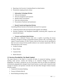- Reporting to the Executive Committee/Board on related matters
- Promotional camping and press release

### **Information Technology Division**

- Software development
- Network management and expansion
- Member banks reconciliation
- Date entry and processing
- Procurement of hardware and maintenance

#### **Branch Control and Inspection Division**

Controlling different function of the branches and search for expansion

- Conducting internal audit and inspection both regularly and suddenly
- Ensuring compliance with Bangladesh Bank(BB), monitoring BB"s inspection and external audit reports

### **Treasury and Market Risk Division**

City Bank has a dedicated Treasury team who is capable of providing all treasury Solutions. Through our foreign correspondent business partners CBL is providing a wide range of Treasury products. In CBL Treasury, there are four teams who are specialized in their own area to ensure the best possible solution to our customer requirement. CBL has following teams in the Treasury:

- Foreign Exchange
- Money Market
- Corporate Sales
- Market Research

### **2.5 Services Provided by City Bank Limited:**

The major behavior of the Bank is to provide all kinds of commercial banking, consumer banking, trade services, custody and clearing to its customers through its branches in Bangladesh. City Bank is among the very few local banks which do not follow the traditional, decentralized, geographically managed, branch based business or profit model. Instead the bank manages its business and operation vertically from the head office through 4 distinct business divisions namely-

- 1. Corporate & Investment Banking
- 2. Treasury & Market Risks &
- 3. Retail Banking (including Cards)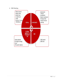## 4. SME Banking

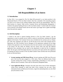# **Chapter 3**

# **Job Responsibilities of an Intern**

## **1.1 Introduction:**

In May 2014, I was assigned by The City Bank HR personnel's as an intern position in the Dhanmondi Branch of The City Bank Limited. After that a timetable of the internship program was given to me consist of the working schedule along with the job responsibilities. There are three sections in a branch, Teller service, Customer service and Relationship Management. I worked in the general banking division in The City Bank Limited. I worked under the Customer service dsection of the Banani branch and for that reason I got longer time to gather knowledge about that particular segment.

## **1.2 Job Description:**

I worked in the retail or general banking division in The City Bank Limited. I got the opportunity to work in customer service which is consist of card division, remittance  $\&$  clearing segment of the branch. The Customer Service area is divided into few sections such as, Cheque, pin, cards, loan, remittance, pay order etc. On the first day of my work in the Customer Service department, the CSM (Customer Service Manager) of the department explained all the things related to the operations to me. He showed me how the total customer service department works in the branch. He also made me familiar with the various terms and tools like different application form, procedure, that are used by that department to make the life of employees easier. He also gave a brief description that how an account can be open and the rules regulations for opening any kind of account in The City Bank Limited. Some activities that were performed by me are discussed below:

- Account opening and FDR forms fill up: Account opening and FDR form fill up are part of the one the tasks assigned to a CBL intern. There are different kinds of bank accounts starting from current, savings, proprietorship, partnership etc. Every form has different rules for maintain. These rules are declared by Bangladesh Bank.
- $\checkmark$  Loan Application fill up: Customers who take loans tend to have all their information written down manually in small loan book. Every customer has one each. These information books are filled up by the interns. Again the undertaking letters are also filled up by the interns in CBL.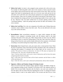- $\checkmark$  **Deliver the Cards:** An intern is also assigned to play assistant role to this service area. For example, by delivering debit credit cards to the customer or bearer, keep the tracker of the regular cards received from the currier and reconcile of the cards. There were four register note book for maintaining the cards; two is for new issue cards and rest for lost and stolen card. In the both cases cards and pins maintain by two separate individual for security purpose. There were two people in the hold of card and pin of that branch. They have to maintain the existing card user with increasing large number of new card user day by day. Moreover The City bank Limited have an account opening system named "accelerated banking". Under this package bank provides the debit card instantly to the every customer.
- $\checkmark$  **Deliver the Card Pins:** Pin is the core component of the debit cards. Without these pins customers cannot withdraw money from their cards. Pins are also delivered in the same way as the card by the intern.
- **Reconciliation:** Bank reconciliation statement is a report which compares the bank balance as per company's accounting records with the balance stated in the bank statement. Reconcile of the cards, pins, FDR, Cheque books are done every day. Before reconciling we have to count the closing balance of the day, then count how many are being received from the currier and the number delivered to the customers. In the branch everything is reconciled starting from cheque books, cards, pins, FDR"s etc.

 **Destruction:** Bank chequek book, cards, pins expires after a certain period of time. When the time of expirations comes closer bank sent letters and phone calls to the customers for collecting their products. If customers fail to collect bank end the existence of that product. This process is known as destruction. An intern of CBL plays an important role in destruction. His / Her task is divided into three steps

Step 1: Find out which check, card or pin is close to destruction and list down the names categorizing them based on months.

Step 2: After letter sent from the bank call the listed customers and tell them to collect within upcoming week.

Step 3: After the check, card or pin is destroyed systematically, destroy them manually.

### **Signature, Address and Nominee change of Existing Account**:

There are several issues like nominee change, signature change, and address change etc. work regarding existing account. Nominee is the person who is the authorize person in behalf of the account holder. Basically after the death or any such cases nominee will have the right to take any kind of decision regarding that account. To change the nominee customer needs to come to the mother branch of the account and then fill up a form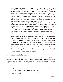named nominee change form. In the nominee form, one copy of nominee photograph is needed and account holder has to sign the form that he or she wants to change his or her accounts nominee. Then files need to submit to the responsible officer and responsible person will verify the information and sign. This whole process takes 2 to 3 days.

For signature change, account holder has to fill up the signature change form and then needs to submit to the customer service department. Customer service officer verify the signature and the information with photograph change, in some cases account holder needs to provide a photograph of his or her own if the previous photograph is not match with the present photograph. This whole process also takes 2 to 3 days.

Again for name change, address change, and many other factors works as almost in the same process, except the address change process. For address change, account holder needs to provide the NID, which has to match with his present address then the account holder can change the address. The remaining process is same as other like has to fill up a form then submit it to the customer service department and then responsible officer will verify the account and signature passed to the head office. This process also takes 2 to 3 days as well.

 **Closing the Accounts:** If an account holder request to close his or her account, it can be closed. After receiving an application from the customer to close an account, some procedures are followed by a banker. The customer should be asked to draw the final check for the amount standing to the credit of his account less the amount of closing and other incidental charges and submit the unused cheque leaves. The account should be debited for the account closing charges etc. and an authorized officer of the bank should destroy unused cheque leaves. In case of Joint account, the applicant for closing the Account should be signed by all the joint holders.

### **1.3 Outcome from the learning:**

From this Internship experience I have learned a lot of new job that is done by a bank. Till now I have visited a bank as a customer. When I joined as an intern, I learned that how each and every work is done by the officers systematically as well as very carefully. My learning outcomes from this internship experience are discussed below:

- $\checkmark$  Experienced the picture of corporate life which makes a person work for 8 hours continuously
- $\checkmark$  Observed how does a branch plays its role in banking
- $\checkmark$  Learned how to deal with customers, how to talk to them and understand customers needs and demands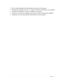- $\checkmark$  How to build strong business relationship and continue it for long term
- $\checkmark$  Working with colleagues and how to cooperate with them while doing a work together
- $\checkmark$  Giving full concentration on work to complete it on due time
- $\checkmark$  Learned to overcome my challenges and execute my skills and build self confidence
- $\checkmark$  Learned how to work under pressure and tackle the critical situations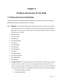# **Chapter 4**

# **Products and Services of City Bank**

## **4.1 Products and services of retail banking:**

The products and services offered by different branches of city bank are called retail banking products and services. And the products are as follows:

- **4.1.1 Deposit:** In recent times People maintain different types of bank accounts, such as Savings account, corporate account etc. Customers use these accounts to withdraw and deposit funds in regular basis. To meet customer"s expectation City bank provides different types of accounts for them and they are as follows:
	- $\checkmark$  Savings Account
	- $\checkmark$  Current Account
	- $\checkmark$  Fixed Deposit
	- $\checkmark$  City Savings Delight
	- $\checkmark$  City Onayash
	- City Shomriddhi
	- City Projonmo
	- $\checkmark$  City Ichchapurun
	- $\checkmark$  City Bunon
	- $\checkmark$  City Digun Praptee
	- $\checkmark$  City Youth School Plan
	- $\checkmark$  City College Plan
	- $\checkmark$  Fixed Deposit
	- **Savings Account:** It is an interest bearing account. Withdrawal is restricted in this case, that is not more than twice a week. At a time, it is not possible to withdraw more than 25% of the balance. To open a savings account a person has to eligible in some areas. Such as, He/she has to be at least 18 years old, has to be a Bangladeshi citizen. The interest rate will be 4% half yearly.
		- The features of this account are-
		- 1. Cheque book facility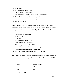- 2. Locker Service
- 3. Debit card for easy cash withdraw
- 4. City MAXX card for easy shopping
- 5. Cash back facility for spending amount through City MAXX card
- 6. Transfer fund on standing instruction arrangement
- 7. City touch- for online banking, sms banking and call center service
- 8. Utility payment service
- **Current Account:** It is a non interest bearing account. There are no restrictions in withdrawal in case of current account and continuous transaction is allowed. No interest will be given for this account holder. And the eligibilities are- the account holder has to be at least 18 years old and he/ she has to be a Bangladeshi.
	- The features of this account are:
	- 1. Cheque book facility
	- 2. Locker Service
	- 3. Debit card for easy cash withdraw
	- 4. City MAXX card for easy shopping
	- 5. Collect foreign remittance in both T.C. & Taka draft
	- 6. Cash back facility for spending amount through City MAXX card
	- 7. Transfer fund on standing instruction arrangement
	- 8. City touch- for online banking sms banking and call center service
- **Fixed Deposit:** If someone believes in long-term investments and wish to earn higher interests on your savings, should go for Fixed Deposit. To open this account the eligibilities are same as normal savings account.
	- **Interest Rate:**

| <b>Term</b>        | Interest Rate $(\% )$ |
|--------------------|-----------------------|
| 1 month            | 6.75                  |
| $45 \text{ day's}$ | 6.75                  |
| Below Tk. 10 Crore | 9.25                  |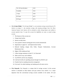| Tk. 10 Crore & above | 9.25 |
|----------------------|------|
| 6 months             | 9.25 |
| 1 Year               | 9.50 |
| 02 Years             | 8.75 |
| 03 Years             | 8.75 |

- City Savings Delight: "City Savings Delight" is a new premium savings account that gives 8% interest on savings. It also maximize savings with amazing privileges from City Maxx American Express Card. Interest will be calculated on daily closing balance and credited to account quarterly basis. To open this account the eligibilities are same as normal savings account.
	- The features of this account are:
	- 1. Cheque book facility
	- 2. Interest on daily basis
	- 3. Every quarter's interest earning goes into account automatically
	- 4. Opportunity to apply for safe deposit locker facility
	- 5. Reduced banking charges (Pay Order, Passport Endorsement, Account Maintenance fee)
	- 6. Higher ATM withdrawal limit
	- 7. Collect foreign remittance in both T.C. & Taka draft
	- 8. Debit card for easy cash withdraw
	- 9. City MAXX card for easy shopping
	- 10. Cash back facility for spending amount through City MAXX card
	- 11. Transfer fund on standing instruction arrangement
	- 12. City touch- for online banking, sms banking and call center service.
- **City Onayash:** City Onayash is a unique kind of savings account. In this account interest is calculated on daily balance and pays interest every month. It is a major departure from the conventional savings account available in the market. All such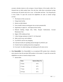accounts calculate interest on the average or lowest balance of the month, while City Onayash does on daily product basis. Not only that, while those conventional savings accounts pays 4% interest only twice a year - in December and June - City Onayash pays it every month. To open this account the eligibilities are same as normal savings account.

- The features of this account are
- 1. Cheque book facility
- 2. Interest on daily balance
- 3. Every month's interest earning goes into account automatically
- 4. Opportunity to apply for safe deposit locker facility
- 5. Reduced banking charges (Pay Order, Passport Endorsement, Account Maintenance fee)
- 6. Higher ATM withdrawal limit
- 7. Collect foreign remittance in both T.C. & Taka draft
- 8. Debit card for easy cash withdraw
- 9. City MAXX card for easy shopping
- 10. Cash back facility for spending amount through City MAXX card
- 11. Transfer fund on standing instruction arrangement
- 12. City touch- for online banking, sms banking and call center service
- **City Shomriddhi:** City Shomridhdhi is an exceptional DPS product that is distinctly more attractive than the prevalent DPS products in the market. To open this account the eligibilities are same as normal savings account.
	- **Interest Rate:**

| <b>Term</b> | Interest Rate $(\% )$ |
|-------------|-----------------------|
| 3 Years     | 9.75                  |
| 5 Years     | 9.75                  |
| 7 Years     | 9.75                  |
| 10 Years    | 9.75                  |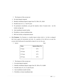- The features of this account are
- 1. No initial deposit required
- 2. Monthly installment deposit ranges from Tk. 500 to Tk. 20,00
- 3. Flexible tenor of 3, 5, 7 and 10 years
- 4. On premature encashment, you get the maturity value of nearest term not the routine savings rate
- 5. Auto installment transfer facility
- 6. Flexibility to choose installment date
- 7. 80% loan facility on deposited amount
- **City Projonmo:** City Projonmo is a monthly deposit scheme which is for kids to safeguard their future against all uncertainties and risks. As a guardian of the child one can open this account which builds great & unmatchable savings for you over the years.
	- Interest Rate:

| Term     | Interest Rate $(\% )$ |
|----------|-----------------------|
| 5 Years  | 9.75                  |
| 10 Years | 9.75                  |
| 15 Years | 9.75                  |
| 20 Years | 9.75                  |

- The features of this account are:
- 1. No initial deposit required
- 2. Monthly installment deposit ranges from Tk. 500 to Tk. 10,000
- 3. Flexible tenor of 5, 10, 15 and 20 years
- 4. Auto installment transfer facility
- 5. Flexibility to choose installment date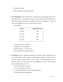- 6. Insurance coverage
- **7.** 80% loan facility on deposited amount
- **City Ichchapurun:** This product allows earning interest and enjoying interest every month that accrues in fixed deposit account, no matter what the term of the deposit is. It helps make financial planning more disciplined, and life more organized. To open this account the eligibilities are same as normal savings account.
	- Interest Rate:

| <b>Term</b> | Interest Rate $(\% )$ |
|-------------|-----------------------|
| 1 Year      | 9.00                  |
| 2 Years     | 9.00                  |
| 3 Years     | 9.00                  |
| 5 Years     | 9.00                  |

- The features of this account are:
- 1. Monthly return on investment
- 2. Flexible tenor of 1, 2, 3 and 5 years
- 3. 80% loan facility on deposited amount
- City Bunon: There is a significant opportunity to provide a range of financial services to Garments Workers. The City Bank is offering deposit product of savings nature for Garments workers. Primary objective of this product is to bring banking service to garments workers. To open this account the eligibilities are same as normal savings account and the interest rate is 2%.
	- The features of this account are:
	- 1. It is a non checking account with
	- 2. Cash Withdrawal facility with Cash Withdrawal slip
	- 3. No minimum balance requirement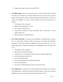- 4. Opportunity to open account with only BDT 100
- **City Digun Praptee:** The title of this scheme says it all. This scheme entitles to double the initial one time deposit in a shortest possible time frame. This account is for who prefers long term deposit scheme, which gives higher earning opportunity. To open this account the eligibilities are same as normal savings account and the interest rate is 10.03%.
	- The features of this account are:
	- 1. Deposit will be doubled after 7 Years
	- 2. You can open multiple account
	- 3. On premature encashment, you get the maturity value of nearest term not the routine savings rate
	- 4. 80% loan facility on deposited amount
- **City Youth School Plan:** A savings account specifically for students below the age of 18. It is to help them develop the habit of saving up and making them financially responsible. To open this account the eligibilities are, the person has to be 11-17 years old and should have a valid ID card and has to be a Bangladeshi citizen. The interest rate is 4%.
	- The features of this account are:
	- 1. One stop service through ready pack
	- 2. Unique feature "save the change" feature that allows earning through spend
	- 3. Fee free tiered plan for Debit Card
	- 4. Free Passport Endorsement
	- 5. No Account Maintenance Fee & Minimum Balance
	- 6. Interest on daily balance
	- 7. City touch for online banking, sms alert and call center service
- **City College Plan:** A savings account tailored specifically for students over the age of 18 enabling them to continue their education and build a bright. To open this account the eligibilities are same as normal savings account and interest rate is 4%.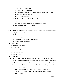- The features of this account are:
- 1. One stop service through ready pack
- 2. Unique feature "save the change" feature that allows earning through spend
- 3. Fee free tiered plan for Debit Card
- 4. Free Passport Endorsement
- 5. No Account Maintenance Fee & Minimum Balance
- 6. Interest on daily balance
- 7. City touch for online banking, sms alert and call center service
- 8. Free Airtel SIM with attractive talk time offer
- **4.1.2 Cards:** City Bank currently has huge customers those who keep debit cards and credit cards including dual currency cards.

### **Debit Cards:**

- 1. City Visa Debit Card
- 2. MasterCard Platinum International Debit Card
- 3. Manarah (Islamic) Debit Card

### **Credit Cards:**

- 1. [American Express Cards](http://www.americanexpress.com.bd/)
- 2. City MAXX Card
- 3. [Visa Gold Card](https://www.thecitybank.com/VISA-Gold-Local.php)
- 4. [Visa Platinum Card](https://www.thecitybank.com/cityvisacreditcard/platinum_card.php)
- 5. Visa Classic Card

### **Debit Cards:**

- **1. City Visa Debit Card: A**n individual who has a savings, current or STD account in City Bank, is eligible for this card. By collecting an application form and submit duly filled up form to any nearby CBL branch one can have Visa Debit Card. Within shortest time the card will be delivered at the mailing address or at designated branch.
	- $\blacksquare$  Features of this card is:
	- $\checkmark$  Cash withdrawal from 500+ Visa ATMs 24/7/365 all over the country
	- $\checkmark$  Shop and dine at hundreds of merchant Visa outlets all over the country
	- $\checkmark$  Balance enquiry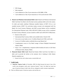- $\checkmark$  PIN Change
- $\checkmark$  Mini statement
- $\checkmark$  Cash withdrawal at Taka 25 per transaction at 583 DBBL ATMs
- $\checkmark$  Cash withdrawal at Taka 10 per transaction at 110 Q-cash network ATMs
- **2. MasterCard Platinum International Debit Card**: MasterCard Platinum International Debit Card from City Bank is the first dual currency platinum debit card in the country. It"s debit card totally redefined. Minimum monthly balance of BDT 10 lac or net monthly income of BDT 2 lac and above (salary account to be maintained with City Bank). For Local Currency Platinum, only BDT account balance will be considered. For International Platinum (only USD), RFCD/FCY/ERQ account will be considered. For Dual Currency Platinum, account would be in BDT and in RFCD/FCY/ERQ forms.
	- $\blacksquare$  Features of this card is:
	- $\checkmark$  International Dual Currency Debit card-available both in Taka & USD
	- $\checkmark$  Get access to your funds at over 1.9 million MasterCard ATMs world wide
	- $\checkmark$  Access to 32 million outlets worldwide that accept MasterCard
	- $\checkmark$  Complimentary access to City Bank Lounge at Hazrat Shahjalal International Airport, Dhaka
	- $\checkmark$  Enjoy 1 for 1 complimentary companion buffet breakfast & lunch at Café Nemo of Platinum Suites, Banani, Dhaka.
- **3. Manarah Islamic Debit Card:** MasterCard Islamic Debit Card from City Bank is a debit card to provide the facility to the customer who is banking in fully Islamic Shariah compliant way.
	- Fratures for this card is almost same as normal debit card.

### **Credit Cards:**

- **1. American Express Cards:** In November, 2009 City Bank became the issuer of one of the world's most prestigious credit cards, American Express® Cards. City Bank has issued one type of American Express Credit Cards, till now, designed to satisfy customer requirements.
- $\overline{\phantom{a}}$  There are different types of American express cards and they are: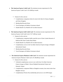- **The American Express Credit Card:** The minimum income requirement for The American Express Credit Card is Tk 30,000 per month.
	- Features for this card are:
		- $\checkmark$  Complimentary companion tickets for entry  $\&$  all rides for Fantasy Kingdom and Water Kingdom
		- $\checkmark$  Membership Rewards Points
		- $\checkmark$  Travel Emergency & Medical Assistance abroad
		- $\checkmark$  Double Benefit City Shield & All Accident Insurance
- **The American Express Gold Credit Card:** The minimum income requirement for The American Express Gold Credit Card is Tk 75,000 per month
	- Features for this card are:
		- $\checkmark$  Complimentary companion buffet round the year at Water Garden Brasserie of Radisson Blu Water Garden Hotel Dhaka
		- $\checkmark$  Double Benefit City Shield & All Accident Insurance
		- $\checkmark$  Complimentary access to the City Bank American Express lounge at Shahjalal International Airport
		- $\checkmark$  Membership Rewards Points
		- $\checkmark$  Travel Emergency & Medical Assistance abroad
- **The American Express Platinum Credit Card:** The minimum income requirement for American Express Platinum Credit Card is Tk 300,000 per month.
	- Features for this card are:
		- $\checkmark$  Unlimited complimentary access to our world-class City Bank Amercian Express lounges at Dhaka"s Hazrat Shahjalal International Airport and Domestic Airport
		- $\checkmark$  Complimentary companion Dhaka to Bangkok economy class return ticket from Bangkok Airways
		- $\checkmark$  Complimentary Priority Pass membership and access to over 600 lounges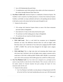- $\checkmark$  Up to 10X Membership Rewards Points
- $\checkmark$  A complimentary meal while paying for three adults at the finest restaurants of the country through Platinum Diner Dines Free
- **2. City Maxx Credit Card:** American Express is a trademark of American Express. The CityMaxx Card is issued by City Bank pursuant to a license from American Express. CityMaxx card holder can enjoy unlimited cash back on all spending and earn interest in the bank account on the money that has been spent through the card.
	- Features for this card are:
		- $\checkmark$  25% savings with American Express Selects at some of the finest restaurants and retail outlets in Bangladesh
		- $\checkmark$  Earn interest for 15 days on the money that has been spent
		- $\checkmark$  5% cash back on all the leading grocery shops in Bangladesh.
		- $\checkmark$  1% cash back all year round on all other transaction

### **3. City Visa Gold Card:**

- **VISA Gold Local:** This is a card which has acceptance just in Bangladesh (domestic use only) .The differences between these two cards are higher credit limit than classic card. Credit limit of Visa Gold card is ranging from BDT 50,000 to BDT 5, 00,000. This card has been designed for the higher earner category customer.
- **VISA Gold Dual:** This is a high value dual card remaining other features same with classic dual. Gold dual is also for the higher earner category customers and its credit limit is USD 1001 to 4000 and BDT 50,000 to BDT 500,000. A secured dual card"s limit will be maximum USD 28,000 against lien on RFCD or ERQ account.
- **4. City Visa Platinum Card:** City Visa Credit Card is designed to be a privileged card for anyone to enjoy benefits to make the best of their lifestyles. This is not just a credit card; it is the modern solution for financial situations that gives prestige and respect for every transaction made with this card.
	- Features for this card are:
		- $\checkmark$  City Visa Platinum Card holder can take pleasure in being honored with 50% off on the Golf Fee Card retail membership and access up to 50% discounted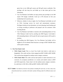green fees at over 2000 golf courses and 500 golf resorts worldwide. This privilege will also keep the card holder up to date about golf tee time information.

- $\checkmark$  City Visa Platinum Card holder can enjoy priority pass privilege at over 600 airport VIP lounges worldwide. Avail up to 35% discount on first year membership fee for priority pass.
- $\checkmark$  Wherever, whether it is day or night, City Visa Platinum Card holder can call on VISA Concierge service for travel and entertainment assistance. Privileges include pre trip information, air travel planning, hotel booking and car hiring according to preference and passport and visa assistance while traveling abroad.
- $\checkmark$  City Visa Platinum Card holder is insured on the outstanding balance of City VISA Platinum Credit Card by enrolling into DBI Program. Card holder"s full outstanding balance will be paid off and an equal amount will be paid to nominee.
- $\checkmark$  By enrolling into DBI Program, City Visa Platinum Card holder will be eligible for All Accidental Death Insurance coverage of BDT 500,000 which will be paid to nominee.

#### **5. City Visa Classic Card:**

- **VISA Classic Local:** This is a local Visa Credit Card which is valid only in Bangladesh. This credit card has a limit ranging from BDT 10,000 to BDT 49,999. This card has been designed for medium earner category customers.
- **VISA Classic Dual:** This credit card has dual options to make transaction in two currencies. Its acceptance jurisdiction is in country and outside country in BDT and USD respectively. Classic dual is for the medium earner category customers. Its credit limit is USD 100 to 1000 and BDT 10,000 to BDT 49,999.
- **4.1.3 Loans:** City Bank has attractive loan products including life style loan, car loan, salary loan, and professional loan is currently in the bank's product offerings under five different names such as: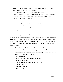- **City Drive:** Car loan facility is provided by this product. City Bank introduces City Drive, a tailor-made auto loan scheme for individuals.
	- To get this loan one has to be eligible in some areas such as: Salaried executive - Minimum 1 year experience including 6 months with current employer; Businessman/Professional - 1 year experience; Monthly income: Minimum Tk. 30,000; Age- 22 to 60 years.
	- Features for this loan are:
		- $\checkmark$  Car financing up to 30% of reconditioned or new vehicle price
		- $\checkmark$  Loan amount ranging from Tk. 300,000 to Tk. 20, 00,000
		- $\checkmark$  Up to 100% financing for loan against cash security
		- $\checkmark$  Loan tenor 12 to 60 months
		- $\checkmark$  No hidden charges
		- $\checkmark$  Competitive interest rate
		- $\checkmark$  Processing fee is 2% of the loan amount
- **City Solution:** City solution is an exclusive offer for consumer. It accepts loans on different purpose such as: Vacation Loan, Study Loan, Medical Treatment Loan, Wedding Loan, House Renovation Loan. City Bank's City Solution is there to solve all customers' problems and to fulfill all dreams. Customers can access this facility from bank"s selected branches across the country.
	- To get this loan one has to be eligible in some areas such as: Minimum monthly income: Salaried executive Tk. 15,000; Experience: Professional 1 year; Experience: Salaried executive total 1 year including 6 months with current employer; Experience: Business person 2 years.
	- Features for this loan are:
		- $\checkmark$  Loan amount ranging from Tk. 50,000 to Tk. 1000,000
		- $\checkmark$  Loan tenor 12 to 60 months
		- $\checkmark$  No guarantor required for the loan amount up to Tk. 3 Lac
		- $\checkmark$  No hidden charges
		- $\checkmark$  Competitive interest rate
		- $\checkmark$  Processing fee 1%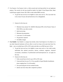- $\checkmark$  City Express: City Express Cash is a fully secured and revolving facility for any legitimate purpose. The security for the loan should be ideally City Bank"s Fixed Deposit Rate. Bank would finance against clients CBL FDR or other banks/NBFIs security.
	- To get this loan one has to be eligible in some areas such as: The Loan taker has to be at least 18 years old and he/she has to be a Bangladeshi.
	- Features for this loan are:
		- $\checkmark$  Minimum loan amount Tk. 50,000 & Maximum 90% of the Present Value of CBL FDR or any other security
		- $\checkmark$  Quick processing
		- $\checkmark$  Minimum documentation
		- $\checkmark$  Loan tenor 12 to 60 months
		- $\checkmark$  No guarantor required
		- $\checkmark$  No hidden charges
- **City Double:** City Double is a unique loan facility where fixed deposit in City Bank or in any other financial institution will now allow to avail two loans at the same time from City Bank – one as overdraft (up to 95% of FD value) and other as an EMI loan up to 10 lac.
	- To get this loan one has to be eligible in some areas such as: Any credit worthy individuals like salaried executives, doctors, architects, engineers, chartered accountants, consultants, IT professionals and businesspersons etc. can apply for this loan.
	- Features for this loan are:
		- $\checkmark$  Fully secured loan in the for up to 95% of FD value
		- $\checkmark$  Unsecured loan for up to Tk. 10 Lac payable in Equal Monthly Installments (tenor ranging from 12 to 60 months)
		- $\checkmark$  Zero processing fee for the overdraft facility
		- $\checkmark$  Interest rate lower than other competitive products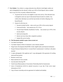- **City Scholar:** City scholar is a unique education loan offered to fund higher studies not only in Bangladesh but also abroad. It offers up to 95% of fixed deposit value as student loan or up to tk.10 lac on purely collateral-free basis.
	- To get this loan one has to be eligible in some areas such as: This education loan is designed to meet any type of educational financial need of a student. Any creditworthy individual can avail this loan facility for his/her offspring or for himself/herself.
	- Eventures for this loan are:
		- $\checkmark$  Secured overdraft facility –value can be up to 95% of the security deposit
		- $\checkmark$  Unsecured facility loan amount up to Tk. 10 Lac
		- $\checkmark$  Secured Equal Monthly Installments Facility loan amount up to 95% of the security deposit
		- $\checkmark$  Quick processing time
		- $\checkmark$  Interest rate lower than other competitive products
		- $\checkmark$  Student file service facility

### **The Documents needed to open a loan account are:**

- $\checkmark$  City Bank fixed deposit
- $\checkmark$  City Bank's deposit scheme of minimum 2 years maturity attained
- $\checkmark$  Wage Earner Development Bond/FDR of other eligible banks and financial institutions
- $\checkmark$  Passport/National Identity/Driver's License/Ward Commissioner's Certificate with photo attached
- $\checkmark$  2 copies photograph of the applicant and 1 copy photograph of the guarantor (if availing unsecured loan portion
- $\checkmark$  Business card (if any)
- $\checkmark$  Bank statement for last 6 months
- $\checkmark$  Any document showing TIN
- $\checkmark$  Trade license/Memorandum of Association/ Partnership deed for businessmen
- $\checkmark$  Letter of Introduction (LOI) for salaried executives or pay slip if that covers major information of LOI
- $\checkmark$  Copy of house ownership and rent agreement for landlord and landlady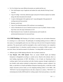- For City Scholar loan some different documents are needed and they are:
	- $\checkmark$  One valid Passport copy of applicant and student (for study abroad)/ Driving License/ Voter ID
	- $\checkmark$  Copy of College / University admission paper and proof of formal acceptance by student along with other documents (for abroad)
	- $\checkmark$  2 copies of photograph of the applicant and 1 copy photograph of the guarantor (if availing unsecured loan portion)
	- $\checkmark$  Business card (if any)
	- $\checkmark$  Copy of Tin related documents (TIN certificate in not mandatory)
	- $\checkmark$  Letter of Introduction (in case of salaried executives) as per City Bank's format or salary slip if that covers the major information of LOI
	- $\checkmark$  Bank Statement for last 3 months for salaried persons and 6 months for professionals/businessmen for unsecured loans

**4.1.4 SME Banking:** SME Banking of City Bank is assuming a new and modern dimension. It is entering in to a wider horizon. The philosophy of extending banking services to SME's of the country is to meaningfully push every one of them up to the next level of respective business operations. The upward push would be meaningful as they would be business wise competitive for a sustainable future. It is therefore would be turning in to an abode of SME's to grow to the next level. Hence, the bank has named it City Business - for taking SME's to the next level.

- Different types of SME Banking offered by The City Bank Limited are:
- **City Munafa- 50% FDR backed:** There are around 106,000 Small and Medium Enterprises in Bangladesh according to a market survey. Based on the estimate, there is a total funding requirements of BDT 200 Billion. A lot of banks are financing for their working capital, fixed asset purchase and other business purposes through complicated or less friendly credit analysis methods by taking land or building as primary collateral. City Bank, as specified in its Small and Medium Enterprise financing policy, would like to offer simply structured, process based, yet risk mitigating banking product to the SMEs. CBL "MUNAFA" has been designed based on the above objectives to achieve. "MUNAFA" is a terminating loan facility (EMI based) for working capital, fixed asset purchase, or any other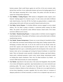business purpose. Bank would finance against net cash flow of the socio economic entity derived from cash flow of any creditworthy business and secure the lending against lien of CBL fixed deposit amounting 50% of loan volume. The product will allow the bank to capture the existing market opportunity.

- **City Muldhan- Trading Purpose:** SME business in Bangladesh mostly requires active financial / banking support for a business to grow. To cater various such needs of different trade related business, from July, 08 The City Bank was going introduce a complete tailor made package which surely will meet your specific financial needs and services.
- **City Sheba- Service Purpose :** To facilitate different concerns engaged in service related industry, The City Bank is going to introduce a customized product naming City Bank Sheba. The product will positively satisfy different business related needs of the clients involved in different service sectors.
- **City Shulov- Manufacturing Purpose :** A unique product to facilitate concerns engaged in manufacturing business. The product will facilitate to meet up diversified needs to different manufacturing concerns.
- **City Nokshi- Women Entrepreneur:** Women are no more belong for household activities only. Rather their movement started shifting toward ruling nation, leading corporate office, developing as business think tank. In all over the world for the last decade women has proved their capacity and entrepreneurship skill in their respective arena. The state and Bangladesh bank feel to give a comfortable ground for the development of the women in the business entity and are encouraging and inviting the financial facilitators to extend their hands. There are thousands women specially in handicrafts, boutique, agro based industry, beauty parlor, readymade garments, creative works, interior design, entertainment market etc keeping their superb contribution. That's why City Bank introduces City Nokshi – an exclusive SME financial facility for women entrepreneur.
- **City Shosho:** Agricultural is the main artery of the nation like Bangladesh. More that 80% of our citizen still depends on agriculture. Agro based products are no more restricted to just producing paddy. The scope of agriculture has been spread from crops to livestock, livestock to fisheries, fisheries to fruit cultivation etc. Till date rice is our staple food and we do have heavy dependency on potato, vegetable, fish, live stocks, fruits etc. In absence of adequate production of all these necessities, we need to live on imported crops and cost of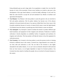living ultimately goes up and a huge stake of our population is simply lives very hard life because of crisis of the necessities. Private sector facilities are invited to take part in the development of this agro based industry to avoid the deadly sufferings of crisis and City Bank has come forward to accept the call and introduced City Shosho to facilitate rural agricultural development.

- **City Khamar:** City Khamar is the loan product to assist the growers who are involved in fish and poultry production. Fish & poultry industry has become one of the advance industries in the past decade and many of our growers shifted their focus from crops to fish & poultry production because of scarcity of natural fish & meat to meet the high demand. City Khamar boost this industry in producing more fish & Poultry to meet our demand.
- $\checkmark$  City Jantrapati: City Jontropati is aimed to facilitate the farmers to produce different agro based machinery and equipment for their irrigation and cultivation. Production of modern cultivation is heavily dependent on availability facility of equipment and machinery for irrigation and cultivation. This loan product will help the farmers to buy this equipment for cultivation process.
- **City Livestock:** City Livestock is the loan product to assist the persons involve in farming livestock in different areas in the country. Livestock has a huge demand in our country for our food, milk and cultivation as well. The raw hide of the livestock is also highly demanded for the leather industry. As we can"t meet our domestic demand of milk and meat from our local sources, we are hugely dependent in import for livestock products. City Livestock has been aimed to facilitate the people who are involved in livestock business in the country.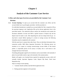# **Chapter 5**

# **Analysis of the Customer Care Service**

## **5.1How and what type of services are provided by the Customer Care Division:**

**5.1.1 Account Opening:** To open up an account both the coutomer care officer and the account holder have to go through a procedure. And the procedure is:

For individual introduction is needed by an account holder He/ She is required to fill up the specimen signature card. Application fills up the relevant application form in the prescribed manner. The authorized officers analyze the introduction and examine the document submitted. Account and FDR is opened issuance of deposit slip and the deposit must be made in cash. After depositing the cash one cheque book  $\&$  pay  $-\text{in}$ slip book is issued. Before opening of a current or savings account, the following formalities must be completed by the customer:

With the main form it contains three other forms. They are individual information form, transaction profile, MID (Most Important Document). The following person can introduce an a/c opener an existing current/savings account holder of that branch patient. A respectable person of the society or locality who is well known to the manager/2nd man of the branch.

Furnishing photographs signed by the introducers and account holder in the backside of photo Account holder needs to sign in the backside of the nominee photo.

Banker will supply a set of printed forms required for opening the account, which will normally include, Specimen Signature Cards, Deposit Slip Book, Check book Requisition slip.

Steps in savings account opening

- 1. Customer should carefully read full-fill the application form
- 2. Putting specimen signature in the specimen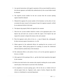- 3. Any special instructions with regard to operation of the account should be noted on the relevant signature card boldly duly authentication by the account holder should be obtained
- 4. The required account number for the new account from the account opening register should be obtained
- 5. Obtained the signature & account number of the Introducer on the advice of new accountant the place meant for the purpose & gets the signature properly verified by an authorized official of the bank
- 6. The deposit slip properly filled in  $\&$  signed by the customer
- 7. Then the new account number should be written at the appropriate place of the deposit slip and mark new account on both the copies of the deposit slip and request the customer to deposit the money at the cash customer
- 8. Place the signature cards, advice of new  $a/c$ , a copy of deposit slip, photographs & other necessary papers/ documents etc. in a file
- 9. Obtain approval of the authorized officers for opening the new account on all relevant papers. While giving approval for opening an account the Authorized official should be satisfied about of the Introducer
- 10. The Authorized officer on the advice of new  $a/c \&$  on the specimen signature of the new a/c holder
- 11. After approval of the opening of the  $a/c$ , get the check book requisition slip signed by the customer
- 12. Deliver the check book to the customer after properly marking the account number name & place of the branch on each leaf of the checkbook
- 13. On completion of account opening open a file for the new a/c holder & file all relevant papers forms etc. Signature cards, copies of advice, Deposit slip, debit ticket etc is distributed to concerned department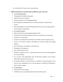- 14. To fill up the KYC (know your Customer) form.
- **Different Document are needed to open up different types of account:**
	- **1.** For Sole Proprietorship:
	- $\checkmark$  Photograph of all authorized signature
	- $\checkmark$  Trade license & Tin Certificate
	- $\checkmark$  Permission under 18-A from Bangladesh Bank
	- $\checkmark$  Photo Identification National Id Card/ Current valid Passport /Valid Driving License.
	- $\checkmark$  Where Photograph is also attested/Employee Photo ID card of any multinational or listed company or organization.
	- **2.** For Limited Company:
	- $\checkmark$  Bank's prescribed Account Opening application form,
	- $\checkmark$  Certified copy of the Memorandum & Articles of Association of the Company,
	- $\checkmark$  Certificate of incorporation,
	- $\checkmark$  Certificate of commencement of Business (For Public Limited Companies only),
	- $\checkmark$  Extract of the Board resolution sanctioning the account opening and signing authority,
	- $\checkmark$  List of the Director with address in specified from,
	- $\checkmark$  Photograph of the signatories,
	- $\checkmark$  Copy of valid Trade License,
	- $\checkmark$  Introducer's signature in the A/C opening form and at the back of the photograph(s) of Account holder(s),
	- $\checkmark$  List of names with Appointment letter and Specimen Signature of the Persons authorized to operate the Account, and
	- $\checkmark$  The personal identity of all the directors or beneficial owner(s) proprietor of the Firm has to be established by any of the documents as mentioned in Individual or Joint Customer category.
	- **3.** For Partnership:
	- $\checkmark$  Trade license & Tin certificate
	- $\checkmark$  Certified true copy of partnership deed of the partnership concern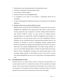- $\checkmark$  Nationalization copy of partnership deed of the partnership concern
- $\checkmark$  Certificate of registration of the partnership concern
- $\checkmark$  List of partners with their address
- $\checkmark$  Permission under 18-A from Bangladesh Bank
- $\checkmark$  An explanation of the nature of the business or partnership should also be ascertained
- $\checkmark$  2 copies of Photograph & identification Document of all partners & all Authorized **Signatories**
- **4.** Resident Foreign Currency Deposit (RFCD) Account:

Eligible persons can open Private FC/NFCD/RFCD accounts easily with any AD in Bangladesh by submitting account opening forms dully filled in, photo and other necessary papers like copy of passport, etc. Persons residing abroad interested to open Private FC/NFCD accounts can open account by sending necessary papers/documents from abroad duly verified by Bangladesh mission abroad or a reputable bank or any other person known to the AD in Bangladesh. However, submission of job certificate/certificate evidencing having business abroad is not mandatory for opening FC account by Bangladesh nationals residing abroad. Besides the opportunity of opening and maintaining Private FC/NFCD accounts as stated above, non-resident Bangladeshis/other non-resident foreign nationals can invest in (i) US Dollar Premium Bond, US Dollar Investment Bond and Treasury Bond (in Taka) of Bangladesh Government (ii) shares/securities listed in stock exchanges through opening of Non-Resident Investor's Taka (NITA) Account. Non-resident Bangladeshis may also invest in Wage Earners" Development Bond in Taka.

### **5.1.2 Activating Dormant Account:**

Dormant account is an account which is inactive. Under the City bank policy, if an account remains inactive for 3 months then accounts will be considered as a dormant account. If the account becomes dormant then account holder won"t be able to use it for transactions. For transactions customer needs go to the branch where he or she had opened that account and with certain process account can be active again.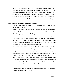At first account holder needs to come to the mother branch and then has to fill up a form named dormant account reactivation. Account holder needs to sign and fill up the form and submit it to the customer service officer. Customer service officer will verify the signature and sent the request to the head office through centralized system to reactivate the account. Then it takes 2 to 3 days for reactivate the account and then account holder can transact with this account. To active dormant accounts charges are applicable.

#### **5.1.3 Changing the Nominee, Signature and Address:**

There are several issues like nominee change, signature change, and address change etc. work regarding existing account.

Nominee is the person who is the authorize person in behalf of the account holder. Basically after the death or any such cases nominee will have the right to take any kind of decision regarding that account. To change the nominee customer needs to come to the mother branch of the account and then fill up a form named nominee change form. In the nominee form, one copy of nominee photograph is needed and account holder has to sign the form that he or she wants to change his or her accounts nominee. Then files need to submit to the responsible officer and responsible person will verify the information and sign. This whole process takes 2 to 3 days.

For signature change, account holder has to fill up the signature change form and then needs to submit to the customer service department. Customer service officer verify the signature and the information with photograph change, in some cases account holder needs to provide a photograph of his or her own if the previous photograph is not match with the present photograph. This whole process also takes 2 to 3 days.

Again for name change, address change, and many other factors works as almost in the same process, except the address change process. For address change, account holder needs to provide the NID (National ID), which has to match with his present address then the account holder can change the address. The remaining process is same as other like has to fill up a form then submit it to the customer service department and then responsible officer will verify the account and signature passed to the head office. This process also takes 2 to 3 days as well.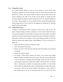#### **5.1.4 Closing the Account:**

If an account holder requests to close his or her account, it can be closed. After receiving an application from the customer to close an account, some procedures are followed by a banker. The customer should be asked to draw the final check for the amount standing to the credit of his account less the amount of closing and other incidental charges and submit the unused cheque leaves. The A/C should be debited for the account closing charges etc. and an authorized officer of the bank should destroy unused cheque leaves. In case of Joint  $A/C$ , the applicant for closing the  $A/C$  should be signed by all the joint holders.

#### **5.1.5 Cheque Book Service:**

A cheque is a document that orders a payment of money from a bank account. The person writing the cheque, the drawer, usually has a current account where their money was previously deposited. Cheque books are issued to the account holder only against requisition on the prescribed requisition slip attached with the checkbook issued earlier, after proper verification of the signature of the account holder personally or to his duty authorized representative against proper acknowledgment. The four main items on a cheque are

- $\checkmark$  Drawer, the person or entity who makes the cheque
- $\checkmark$  Payee, the recipient of the money
- $\checkmark$  Drawee, the bank or other financial institution where the cheque can be presented for payment
- $\checkmark$  Amount, the currency amount
- $\checkmark$  For having a Cheque Book customer who opens a new account must initially deposits minimum required money in the account. When the account opening form is sent for insurance of a cheque book bank charges 130 taka from the account for processing the cheque book. Officer then sealed it with branch name. It normally takes 3 working days to produce the cheque book and deliver it to the ordered branch. When the cheque books reaches it destined branch in-charge officers enter the customer's name  $\&$  the account number in the Register. Account number is then writing down on the face to the cheque book & on every leaf of the check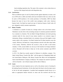book including requisition slip. The name of the customer is also written down on the face of the cheque book and on the Requisition slip.

#### **5.1.6 Card Service:**

There are different types of card City Bank provides against depositary accounts, such as an ATM card or a debit card. Bank cards may be limited in their use; some can only be used at ATM machines or for certain purchases. In November, 2009 City Bank became the issuer of one of the world's most prestigious credit cards, American Express Cards. City Bank has issued one type of American Express Credit Cards, till now, designed to satisfy customer requirements.

#### **5.1.7 Money Transfer:**

A remittance is a transfer of money by a foreign worker to his or her home country. Remittance can also refer to the accounting concept of a monetary payment transferred by a customer to a business. The city Bank's Foreign Remittance unit meets growing customer needs for fast, secure & easy money transfers to an extensive range of destinations. Being a committed bank to its customers, they go all the lengths to remit money safely to the customers. City Bank Limited has 83 online branches across the country. Moreover, the Bank has a strong remittance network with other major banks of the country. Therefore, wherever the account is, they are able to send money instantly. A CBL account holder can visit any of the branches for foreign remittance service. Personnel will be there to help out. In this section customers open RFCD accounts.

In 2013, City Bank has recently opened in Malaysia its subsidiary company "City Bank Limited Money Transfer Sdn. Bhd." with the approval of Bangladesh Bank and the Central Bank of Malaysia. CBL Money Transfer Sdn. Bhd is the 3rd Bangladeshi bank owned Remittance Company in Malaysia. The company has started its operation with two branches - one in Kuala Lumpur and the other in Malacca.

#### **5.1.8 Loans:**

Loans comprise the most important asset as well as the primary source of earning for the banking financial institutions. On the other hand, this (loan) is also the major source of risk for the bank management. A prudent bank management should always try to make an appropriate balance between its return and risk involved with the loan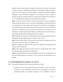portfolio. Banks collects deposit for lending & investment, this function is performed by Loans & Advance Department Sanctioning of loan proposal starting from party"s request for a loan collection of necessary papers , information & financial statement, analyzing of those information, preparation of loan proposal, security analysis & valuation, inspection, lending risk analysis, setting terms & conditions have also known to us. City Bank follows a procedure for sanctioning loans. They are,

**Step1:** A customer who has willed to take loan from bank has to write an application along with the documents such as, Two copies of photographs, Valid trade license has to be deposited by the part. There must be description of collateral in the application. The collateral must not be the home state land out of municipal or vacant land, Physical inspection of collateral must be done and market value from the locality has to be determined. It must be done by B.Ss Engineer, Confidential report from other banks is also needed, and Declaration and balance sheet form is needed.

**Step 2:** Proposal has to be sent to the Head Office by the branch along with the letter of hypothecation & other different types of certificate as per circular.

**Step 3:** Head Office confirms the sanction with some terms and conditions and if the party agrees with this, he signs on the duplicate copy.

**Step 4:** To legalize the collateral panel lawyer will complete the documentation and will give letter of satisfaction.

**Step 5:** After signing the charges documents the loan is created and the limit is ready for disbursement by giving the party a cheque book.

**Step 6:** After disbursement stock must be submitted by the party on monthly basis. In this case sudden inspection is necessary. In every 45 days the loan should have to be adjusted.

### **5.2 Critical findings from Customer Care Service:**

- **5.2.1** The problems existing in this are many and explained as follows:
	- 1. The present system is time consuming both for the bankers as well as the clients. For instance; in terms of bankers, the officers have to go through a lot of files in searching the details of a particular transaction, if it is backdated. In terms of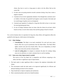clients, they have to wait in a long queue in order to let the officer find out the correct file.

- 2. In some cases not paying attention towards customers during a busy hour creates a negative situation.
- 3. Customers do not receive appropriate attention. Even though these customers aren"t a/c holders of the bank, the goodwill and negative word of mouth of the bank and its overall image of quality service are hampered.
- 4. Customers get impatient of waiting for a long time like half an hour or even more for receiving during peak times.
- 5. In case of foreign remittance there are times when the clients do not know which branch are they to receive their money from and thus going to branch to branch.

For a service business that is in operation for long term, these effects will negatively affects the goodwill in the long run, which seems to be hazardous.

#### **5.2.2 Other findings:**

- **Centralization:** The Bank is too much centralized. For each and every move, branch office has to go for permission from the Head Office. The Head Office tightly controls each and every branch office. This sort of dependency on Head Office slows down the activities of branch office.
- $\checkmark$  Lack of waiting place: In compare to customers the place for waiting/ sitting areas are not sufficient, as a result, customers have to wait by standing.

#### **5.2.3 Some areas where improvement is needed:**

The service of The City Bank Ltd. is competitive and efficient comparing to the others; but there is significant scope of improvement.

- 1. The bank needs to make significant effort to improve the employee relationship with clients.
- 2. The environment inside the bank needs to be improved significantly for efficient and pleasant banking activities for the customers.
- 3. Steps should take to improve employee job satisfaction.
- 4. More customized products and service should introduce.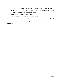- 5. Call center team often provides inadequate or incorrect information to the customers.
- 6. To increase customer satisfaction the bank needs to improve their service quality by providing more importance on customer"s preference.
- 7. Service charge is relatively high than others.
- 8. Branch needs more personnel to ensure smooth service.

In terms of the customers, environment of the bank is quite ok but the services of cash needs to more fast also more attention need to be given to the customers when they come for foreign remittance.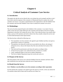# **Chapter 6**

# **Critical Analysis of Customer Care Service**

## **6.1 Introduction:**

The people who take the service directly they can evaluate the service properly and that is why I have tried to take the response of the customers of Dhanmondi Branch to analyze the overall customer care service. I was given a questionnaire by the organization to take the feedback from the customers and from their feedback I have tried to evaluate the customer care service.

## **6.2 Methodology:**

The survey has been prepared based on the feedback of the customers. As an intern I have to collect at least 20 survey paper filled up by the customers and sent them to the Service Quality Department so that they can evaluate the service. Here, I have taken the data of one month which means a survey of 20 customers and tried to observe how they actually evaluate the service and in which field the Branch needs improvements.

The Data has been collected by following way:

- $\checkmark$  The respondents were the customers who agreed to give feedback and they were given a questionnaire consists of 5 questions.
- $\checkmark$  The questions were about the overall service provided by the officers, the timing of taking the service, what are the features they like most and about the location of the branch.
- $\checkmark$  They had read the questionnaire and choose the option according to them.
- $\checkmark$  Al least 20 survey papers were collected from the customers in a month.
- $\checkmark$  Lastly, sending the papers to the Service Quality Department.
- $\checkmark$  The Service Quality Department keeps the records and work on it.

## **6.3 Purpose of the Survey:**

The main purpose of the survey was to take the feedback from the customers and know about their satisfaction level and also know about the area of improvements.

## **6.4 Result from the Survey:**

### **6.4.1: Whether or not the officers serve the customers according to their expectation:**

For this question the customers were asked to give the answer in Yes/No. in this case amonu the 20 customers almost half of them said No and the rest of them Yes.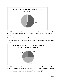

From this figure we can see that the customers are not so satisfied the service provided by the officers. The Branch needs to work on it and they should take some steps to overcome the lacking.

### **6.4.2: How the customers rate the overall service of the Branch:**

In this question they were asked to evaluate the service in 3 criteria and they are: Good, Average and Poor.



From this figure we can see that the majority customers find the overall service average. In this age of competition no service oriented organization can run successfully by providing average service. City bank limited should take it in the consideration and according to the want of the customers they should try to move their service from average to good.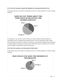### **6.4.3: How the customers evaluate the timeliness of receiving the desired service:**

In this question they were asked to evaluate the service in 3 criteria and they are: Good, Average and Poor.



In this figure we can see that very few of them are totally satisfied with the timeliness of receiving the service. Sometimes the customers have to wait for a long time to take a small service because the number of customer care officers is not sufficient enough to take the pressure of a large number of customers at the same time. If the bank carries on with this level of service then the number of dissatisfied customer will increase.

#### **6.4.4: How the customers rate the premises of the branch:**



In this question they were asked to evaluate the service in 3 criteria and they are: Good, Average and Poor.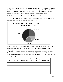In this figure we can see that most of the customers are satisfied with the location of the branch. City Bank has a good number of branches around the country; especially in Dhaka city. The target group of the customers is the people who live of work in Dhanmondi area. The Branch is situated in a location where all the people of Dhanmondi area can access easily.

### **6.4.5: The best thing that the customers like about the product/feature:**

The products/ features the customer had to choose from are: CA/SA (Current Account/Savings Account), FDR, Loan and Amex (American Express Cards).



Majority Customers had chosen the American Express Card as the best product because this particular product contains various offers and there are different variety of this product.

**Figure 6.4:** This figure shows whether the customers are satisfied with the service of the branch or not. To measure the satisfaction question 2,3 and 4 has been chosen. To do that the Poor, Average and Good factors has been converted in the value of 1, 2 and 3 and that is why let, Poor= 1, Average=2 and Good= 3.

|                        | <b>Customer's Rating</b> |                       |                       |
|------------------------|--------------------------|-----------------------|-----------------------|
| <b>Customer Number</b> | <b>Question No. 2</b>    | <b>Question No. 3</b> | <b>Question No. 4</b> |
|                        |                          |                       |                       |
|                        |                          |                       |                       |
|                        |                          |                       |                       |
|                        |                          |                       |                       |
|                        |                          |                       |                       |
|                        |                          |                       |                       |
|                        |                          |                       |                       |
|                        |                          |                       |                       |
|                        |                          |                       |                       |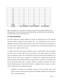| 10           | ി                | ി                           |                  |
|--------------|------------------|-----------------------------|------------------|
| 11           |                  |                             |                  |
| 12           | っ                | $\mathcal{D}_{\mathcal{L}}$ |                  |
| 13           | ⌒                |                             |                  |
| 14           | 3                | ി                           |                  |
| 15           | ി                | ി                           | 3                |
| 16           |                  |                             |                  |
| 17           | $\overline{c}$   | っ                           |                  |
| 18           |                  | ി                           |                  |
| 19           | ി                | ◠                           |                  |
| 20           | 3                |                             |                  |
| <b>Total</b> | 11               | 36                          | 51               |
| Average      | 2.05 (Satisfied) | 1.8 (Not Satisfied)         | 2.55 (Satisfied) |

Here, in this figure we can see that the customers are more or less satisfied with the overall branch product/ service, environment and location but they are dissatisfied about the time that the officers take to provide them the service.

### **6.5 Recommendation:**

City Bank should start strategic planning to increase the infrastructures and also important constructs needed to support its large customer base. So, considering the service sector of Bangladesh, the bank should be more conscious to deal with its customers as the customers have now more choice to bank with and there are institutions that are intensifying competition by focusing more on superb customer service.

To identify these bank needs proper information system is required badly. Customer feedback can make value to increase right services and relations to the right customers and increase precise commitment, loyalty, trust and satisfaction to become with huge good relationship. City Bank has several services gap to authentic of considerate the consumer behavior and their potential attitude, which made them deficient in modern banks. City Bank has to minimize their service gap though strong study on customer objection, expectation, perception and critical internal marketing aspects. Steps should be taken to implement the new process in order to ensure a smooth service as promised to customers.

1. Employees are needed to give adequate training to work and handle clients under pressure. In this case both the branch authorities and higher authorities can persuade each other to train the employees.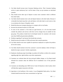- 2. City Bank should increase more Consumer Banking activity. Their Consumer banking activity is quite satisfactory but it will be better if they can put attention on individual customer.
- 3. They should invent other type of deposit to attract more customers which is different from other banks.
- 4. City Bank should maintain more cash and deposit balances with other banks. Because it is desirable that banks keep their cash and balance with other bank to such extent so that it can minimize the chance of liquidity crunch.
- 5. Should develop more strategic planning as to compete with its rival banks.
- 6. Increase the merchant locations of ATM cards.
- 7. As most of the customer"s of the bank are aged between 21 to 30, the bank should consider the products and services with fewer service charges that are suitable for that age group. The products should also be developed mostly for customers with income more than 30,000 and particularly jobholders.
- 8. Problems regarding IT and internet link should take seriously.
- 9. Should increase the number of ATMs and ensure their smooth operations.
- 10. City Bank should recruit more capable & experiences employees to explore the products all over the country.
- 11. City Bank should maintain errors-free customer"s record & database which will help to identify the major customer's facility requirements.
- 12. Employees should get proper knowledge on products & facilities to deliver the customer regarding right time, right facilities as per their requirements.
- 13. Customers are confused about the loan pricing & hidden charges, so City Bank should informed the customer about the different fees & installment size of that particular product.
- 14. Customers are demanding more SME Service Center & Branches in their locality which will help them regular transaction with them.
- 15. Agriculture is the backbone of the country. As per Bangladesh Bank policy; City Bank Limited should increase their more concentration on Agri loan.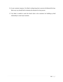- 16. As per customer response, City Bank is taking long time to process & disbursed the loan. More easy way should find to minimize the duration for loan process.
- 17. City Bank is needed to reach the brand value to the customers for building up ideal relationship to create loyal customer.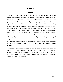# **Chapter 6**

# **Conclusion**

In recent times the private Banks are doing an outstanding business, so it is clear that the modern people are more concerned about securing their valuable assets and get high-quality and timely services. For this reason lot of new commercial bank has been established in last few years and these banks have made this banking sector very competitive. So, now banks have to organize their operation and do their operations according to the need of the market. Banking sectors no more depends on a traditional method of banking. In this competitive world this sector has trenched its wings wide enough to cover any kind of financial services anywhere in this world. The major task for banks, to survive in this competitive environment is by managing its assets and liabilities in an efficient way. City Bank is the most promising bank in Bangladesh. Every day City Bank endeavor to increase their product and services although they provide a wide range of product of services to their customers. City Bank is helping the economy of Bangladesh by remitting of funds both local and foreign. For helping the people the bank provides bridge financing loan, working capital loan to its corporate clients. As modern function City Banks provides credit card facility, ATM card facility and any branch banking facility to its customers.

This project concentrated mostly on the customer services of the Dhanmondi branch and identified some valuable information that could make the services more attractive and also enhance the banks reputation among the customers. With the current performance of the Bank and with little improvement here and there will certainly make City Bank one of the best Private Bank in Bangladesh in the near future.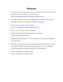## **Bibliography**

- *City Bank launches City Bank American Express® Platinum Credit Card. (2013, October 26). Retrieved from Press Releases, The City Bank Ltd.: [https://www.thecitybank.com.bd/news\\_details\\_2013.php?code=14](https://www.thecitybank.com.bd/news_details_2013.php?code=14)*
- *City Bank wins American Express GNS Marketing Award. (2010). Retrieved from The City Bank Ltd.: https://www.thecitybank.com.bd/amex\_award.php*
- *Bank Account. (n.d.). Retrieved from immihelp: <http://www.immihelp.com/newcomer/bankaccount.html>*
- *Rose, P. S. (n.d.). Commercial Bank management*
- *Cheque. (n.d.). Retrieved from Wikipedia, the free encyclopedia: http://en.wikipedia.org/wiki/Cheque*
- *Equipment Management System . (n.d.). Retrieved from UCLA, Equipment Management: www.eqm.ucla.edu*
- *Information to general public for opening and maintaining of Foreign Currency Account with Authorized Dealer banks dealing in foreign exchange. (n.d.). General Manager, Foreign Exchange Policy Department. Bangladesh: Bangladesh Bank..*
- *Annual report-2009, The City Bank Limited.*
- *Annual report-2010, The City Bank Limited.*